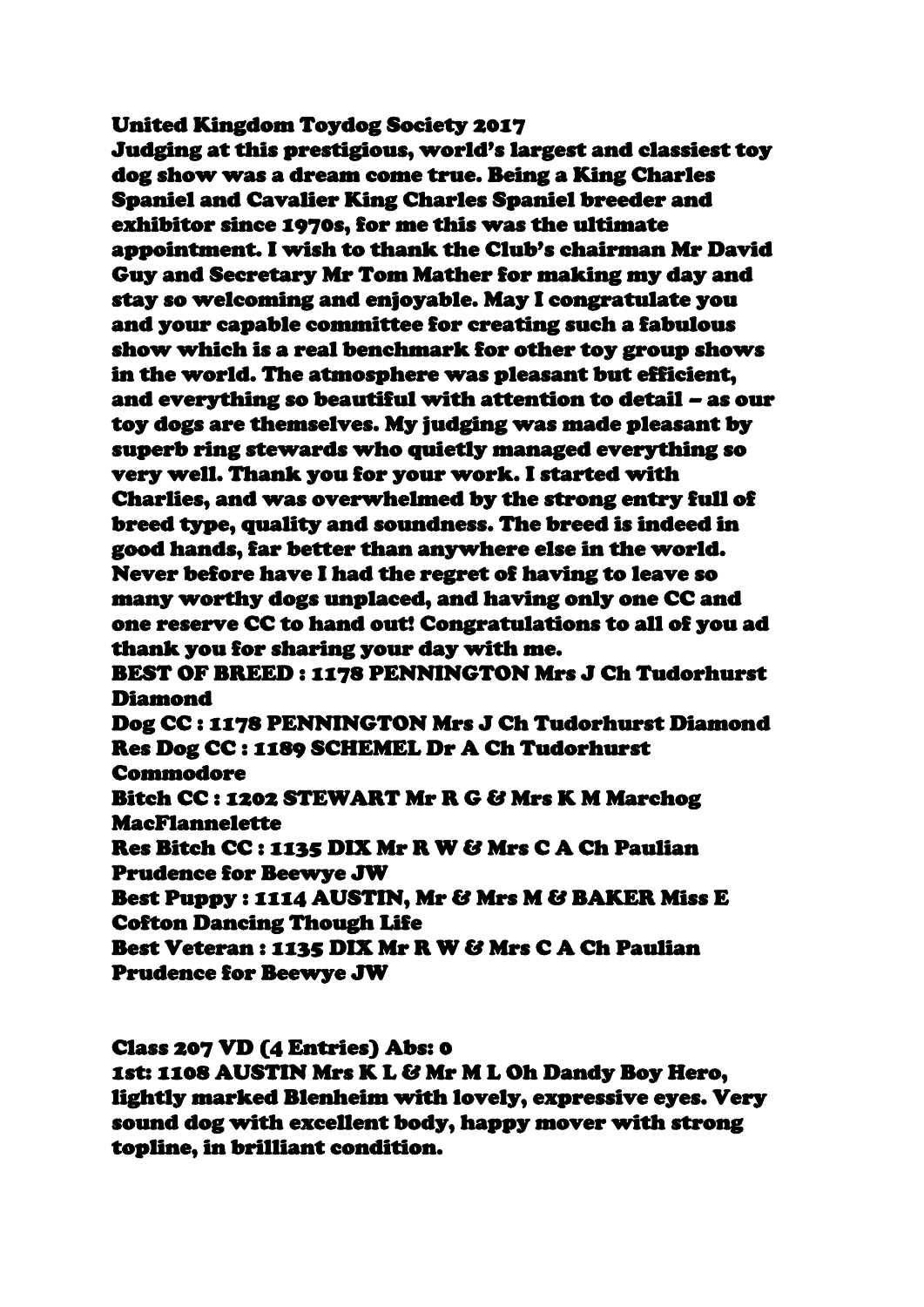United Kingdom Toydog Society 2017

Judging at this prestigious, world's largest and classiest toy dog show was a dream come true. Being a King Charles Spaniel and Cavalier King Charles Spaniel breeder and exhibitor since 1970s, for me this was the ultimate appointment. I wish to thank the Club's chairman Mr David Guy and Secretary Mr Tom Mather for making my day and stay so welcoming and enjoyable. May I congratulate you and your capable committee for creating such a fabulous show which is a real benchmark for other toy group shows in the world. The atmosphere was pleasant but efficient, and everything so beautiful with attention to detail – as our toy dogs are themselves. My judging was made pleasant by superb ring stewards who quietly managed everything so very well. Thank you for your work. I started with Charlies, and was overwhelmed by the strong entry full of breed type, quality and soundness. The breed is indeed in good hands, far better than anywhere else in the world. Never before have I had the regret of having to leave so many worthy dogs unplaced, and having only one CC and one reserve CC to hand out! Congratulations to all of you ad thank you for sharing your day with me. BEST OF BREED : 1178 PENNINGTON Mrs J Ch Tudorhurst

Diamond

Dog CC : 1178 PENNINGTON Mrs J Ch Tudorhurst Diamond Res Dog CC : 1189 SCHEMEL Dr A Ch Tudorhurst Commodore

Bitch CC : 1202 STEWART Mr R G & Mrs K M Marchog MacFlannelette

Res Bitch CC : 1135 DIX Mr R W & Mrs C A Ch Paulian Prudence for Beewye JW

Best Puppy : 1114 AUSTIN, Mr & Mrs M & BAKER Miss E Cofton Dancing Though Life

Best Veteran : 1135 DIX Mr R W & Mrs C A Ch Paulian Prudence for Beewye JW

Class 207 VD (4 Entries) Abs: 0

1st: 1108 AUSTIN Mrs K L & Mr M L Oh Dandy Boy Hero, lightly marked Blenheim with lovely, expressive eyes. Very sound dog with excellent body, happy mover with strong topline, in brilliant condition.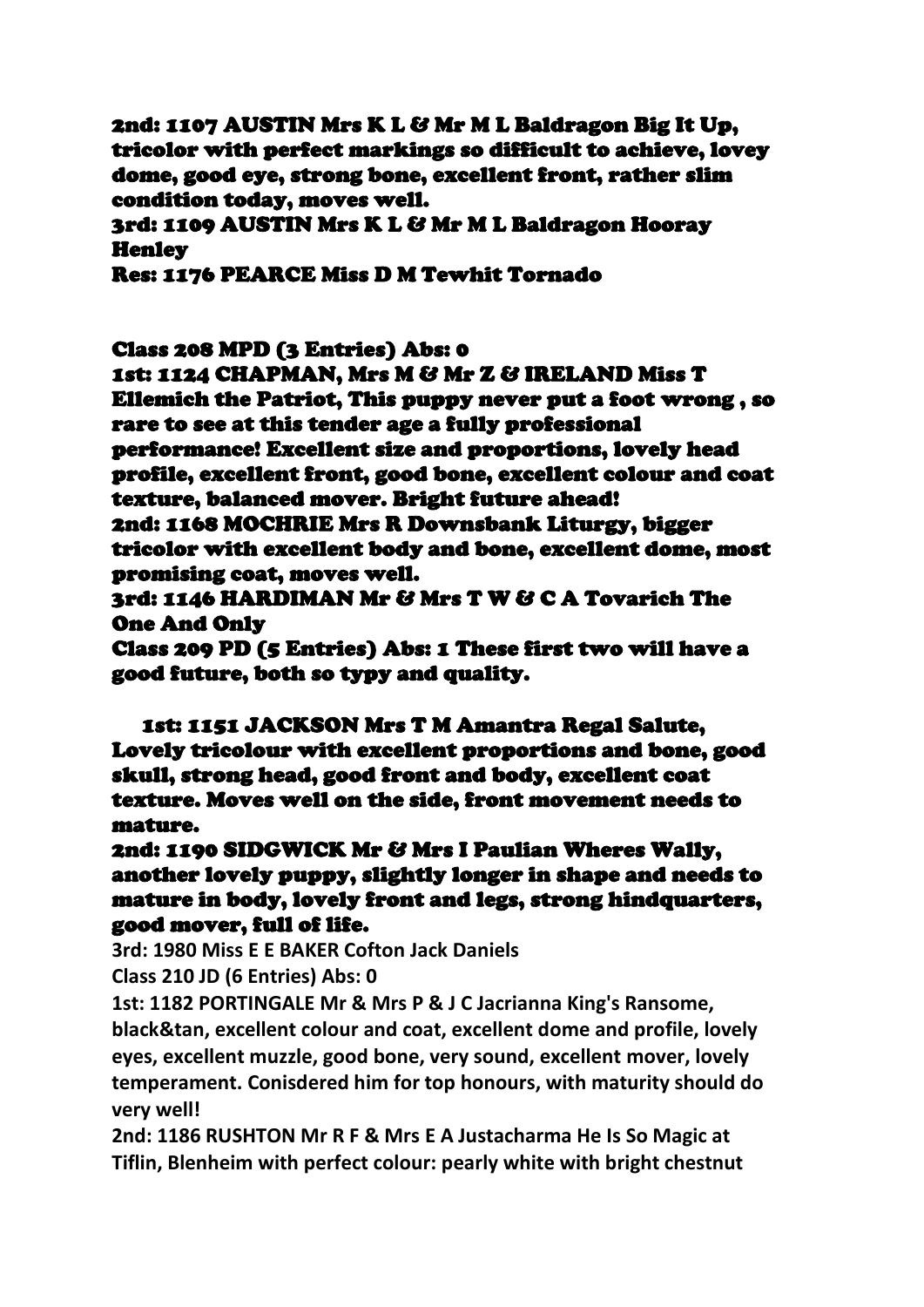2nd: 1107 AUSTIN Mrs K L & Mr M L Baldragon Big It Up, tricolor with perfect markings so difficult to achieve, lovey dome, good eye, strong bone, excellent front, rather slim condition today, moves well.

3rd: 1109 AUSTIN Mrs K L & Mr M L Baldragon Hooray **Henley** 

Res: 1176 PEARCE Miss D M Tewhit Tornado

Class 208 MPD (3 Entries) Abs: 0

1st: 1124 CHAPMAN, Mrs M & Mr Z & IRELAND Miss T Ellemich the Patriot, This puppy never put a foot wrong , so rare to see at this tender age a fully professional performance! Excellent size and proportions, lovely head profile, excellent front, good bone, excellent colour and coat texture, balanced mover. Bright future ahead! 2nd: 1168 MOCHRIE Mrs R Downsbank Liturgy, bigger tricolor with excellent body and bone, excellent dome, most promising coat, moves well.

3rd: 1146 HARDIMAN Mr & Mrs T W & C A Tovarich The One And Only

Class 209 PD (5 Entries) Abs: 1 These first two will have a good future, both so typy and quality.

1st: 1151 JACKSON Mrs T M Amantra Regal Salute, Lovely tricolour with excellent proportions and bone, good skull, strong head, good front and body, excellent coat texture. Moves well on the side, front movement needs to mature.

2nd: 1190 SIDGWICK Mr & Mrs I Paulian Wheres Wally, another lovely puppy, slightly longer in shape and needs to mature in body, lovely front and legs, strong hindquarters, good mover, full of life.

**3rd: 1980 Miss E E BAKER Cofton Jack Daniels**

**Class 210 JD (6 Entries) Abs: 0**

**1st: 1182 PORTINGALE Mr & Mrs P & J C Jacrianna King's Ransome, black&tan, excellent colour and coat, excellent dome and profile, lovely eyes, excellent muzzle, good bone, very sound, excellent mover, lovely temperament. Conisdered him for top honours, with maturity should do very well!**

**2nd: 1186 RUSHTON Mr R F & Mrs E A Justacharma He Is So Magic at Tiflin, Blenheim with perfect colour: pearly white with bright chestnut**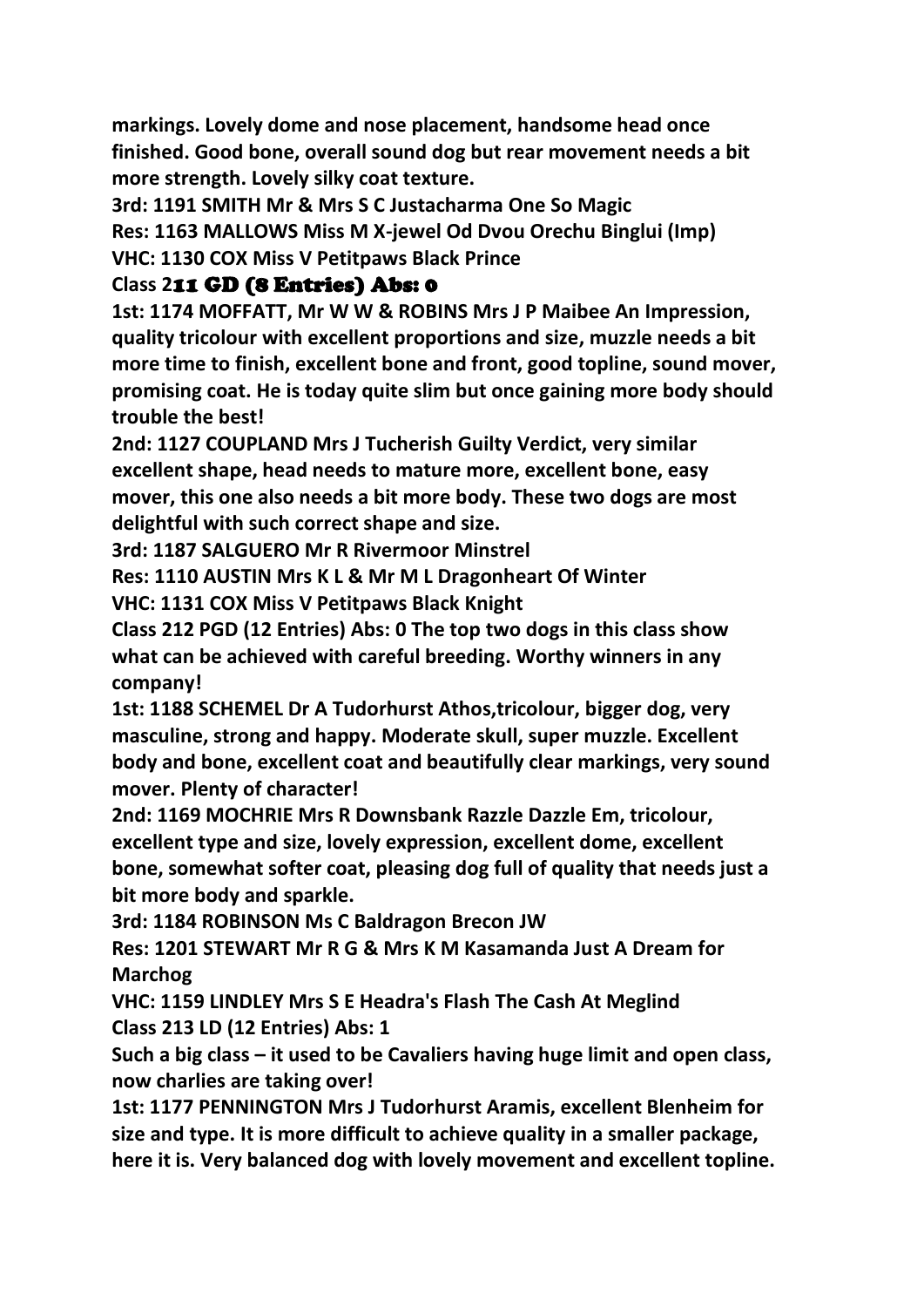**markings. Lovely dome and nose placement, handsome head once finished. Good bone, overall sound dog but rear movement needs a bit more strength. Lovely silky coat texture.**

**3rd: 1191 SMITH Mr & Mrs S C Justacharma One So Magic Res: 1163 MALLOWS Miss M X-jewel Od Dvou Orechu Binglui (Imp) VHC: 1130 COX Miss V Petitpaws Black Prince**

## **Class 2**11 GD (8 Entries) Abs: 0

**1st: 1174 MOFFATT, Mr W W & ROBINS Mrs J P Maibee An Impression, quality tricolour with excellent proportions and size, muzzle needs a bit more time to finish, excellent bone and front, good topline, sound mover, promising coat. He is today quite slim but once gaining more body should trouble the best!**

**2nd: 1127 COUPLAND Mrs J Tucherish Guilty Verdict, very similar excellent shape, head needs to mature more, excellent bone, easy mover, this one also needs a bit more body. These two dogs are most delightful with such correct shape and size.**

**3rd: 1187 SALGUERO Mr R Rivermoor Minstrel**

**Res: 1110 AUSTIN Mrs K L & Mr M L Dragonheart Of Winter**

**VHC: 1131 COX Miss V Petitpaws Black Knight**

**Class 212 PGD (12 Entries) Abs: 0 The top two dogs in this class show what can be achieved with careful breeding. Worthy winners in any company!**

**1st: 1188 SCHEMEL Dr A Tudorhurst Athos,tricolour, bigger dog, very masculine, strong and happy. Moderate skull, super muzzle. Excellent body and bone, excellent coat and beautifully clear markings, very sound mover. Plenty of character!**

**2nd: 1169 MOCHRIE Mrs R Downsbank Razzle Dazzle Em, tricolour, excellent type and size, lovely expression, excellent dome, excellent bone, somewhat softer coat, pleasing dog full of quality that needs just a bit more body and sparkle.**

**3rd: 1184 ROBINSON Ms C Baldragon Brecon JW**

**Res: 1201 STEWART Mr R G & Mrs K M Kasamanda Just A Dream for Marchog**

**VHC: 1159 LINDLEY Mrs S E Headra's Flash The Cash At Meglind Class 213 LD (12 Entries) Abs: 1**

**Such a big class – it used to be Cavaliers having huge limit and open class, now charlies are taking over!**

**1st: 1177 PENNINGTON Mrs J Tudorhurst Aramis, excellent Blenheim for size and type. It is more difficult to achieve quality in a smaller package, here it is. Very balanced dog with lovely movement and excellent topline.**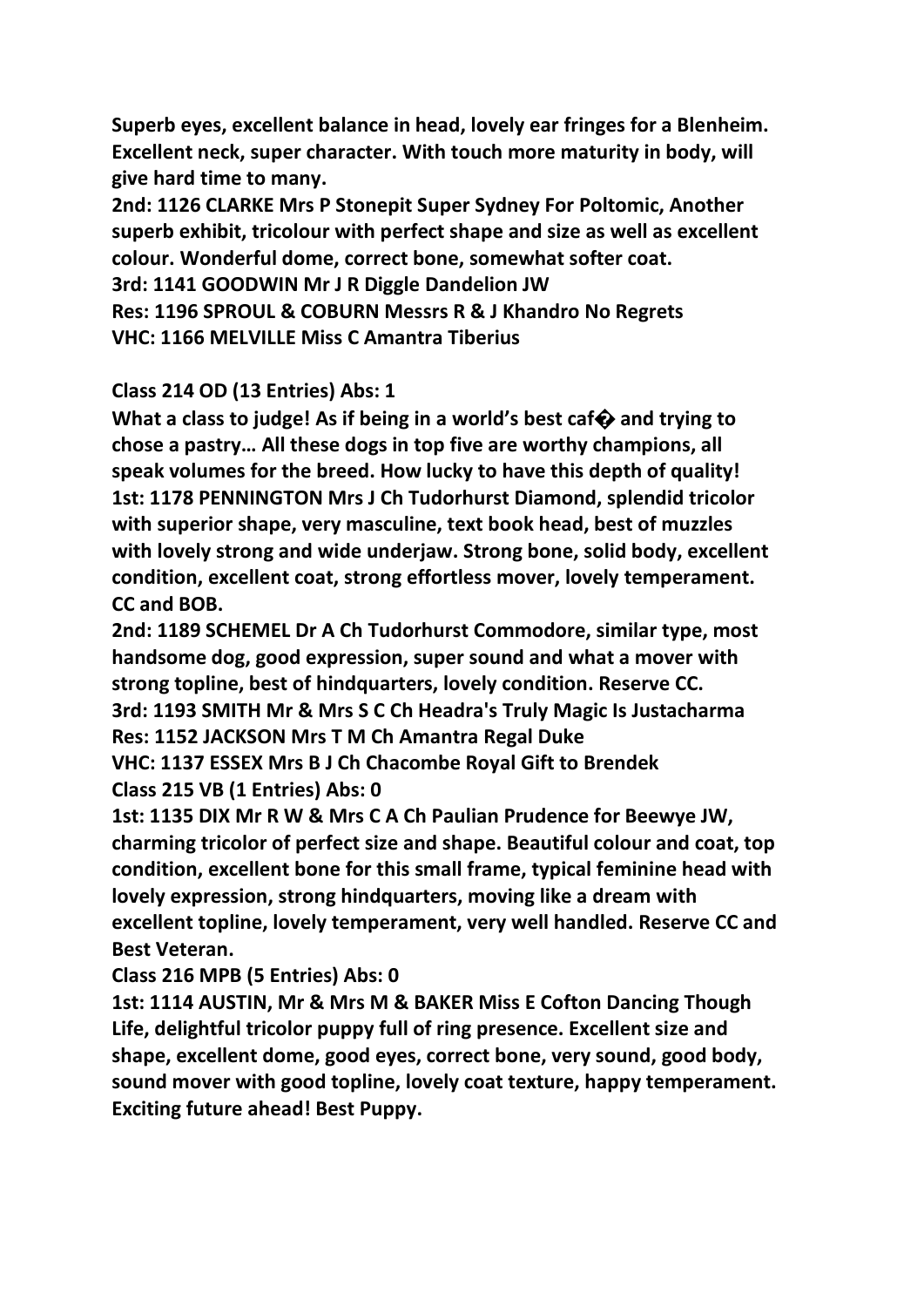**Superb eyes, excellent balance in head, lovely ear fringes for a Blenheim. Excellent neck, super character. With touch more maturity in body, will give hard time to many.**

**2nd: 1126 CLARKE Mrs P Stonepit Super Sydney For Poltomic, Another superb exhibit, tricolour with perfect shape and size as well as excellent colour. Wonderful dome, correct bone, somewhat softer coat. 3rd: 1141 GOODWIN Mr J R Diggle Dandelion JW Res: 1196 SPROUL & COBURN Messrs R & J Khandro No Regrets VHC: 1166 MELVILLE Miss C Amantra Tiberius**

## **Class 214 OD (13 Entries) Abs: 1**

**What a class to judge! As if being in a world's best caf� and trying to chose a pastry… All these dogs in top five are worthy champions, all speak volumes for the breed. How lucky to have this depth of quality! 1st: 1178 PENNINGTON Mrs J Ch Tudorhurst Diamond, splendid tricolor with superior shape, very masculine, text book head, best of muzzles with lovely strong and wide underjaw. Strong bone, solid body, excellent condition, excellent coat, strong effortless mover, lovely temperament. CC and BOB.**

**2nd: 1189 SCHEMEL Dr A Ch Tudorhurst Commodore, similar type, most handsome dog, good expression, super sound and what a mover with strong topline, best of hindquarters, lovely condition. Reserve CC. 3rd: 1193 SMITH Mr & Mrs S C Ch Headra's Truly Magic Is Justacharma Res: 1152 JACKSON Mrs T M Ch Amantra Regal Duke VHC: 1137 ESSEX Mrs B J Ch Chacombe Royal Gift to Brendek**

## **Class 215 VB (1 Entries) Abs: 0**

**1st: 1135 DIX Mr R W & Mrs C A Ch Paulian Prudence for Beewye JW, charming tricolor of perfect size and shape. Beautiful colour and coat, top condition, excellent bone for this small frame, typical feminine head with lovely expression, strong hindquarters, moving like a dream with excellent topline, lovely temperament, very well handled. Reserve CC and Best Veteran.**

**Class 216 MPB (5 Entries) Abs: 0**

**1st: 1114 AUSTIN, Mr & Mrs M & BAKER Miss E Cofton Dancing Though Life, delightful tricolor puppy full of ring presence. Excellent size and shape, excellent dome, good eyes, correct bone, very sound, good body, sound mover with good topline, lovely coat texture, happy temperament. Exciting future ahead! Best Puppy.**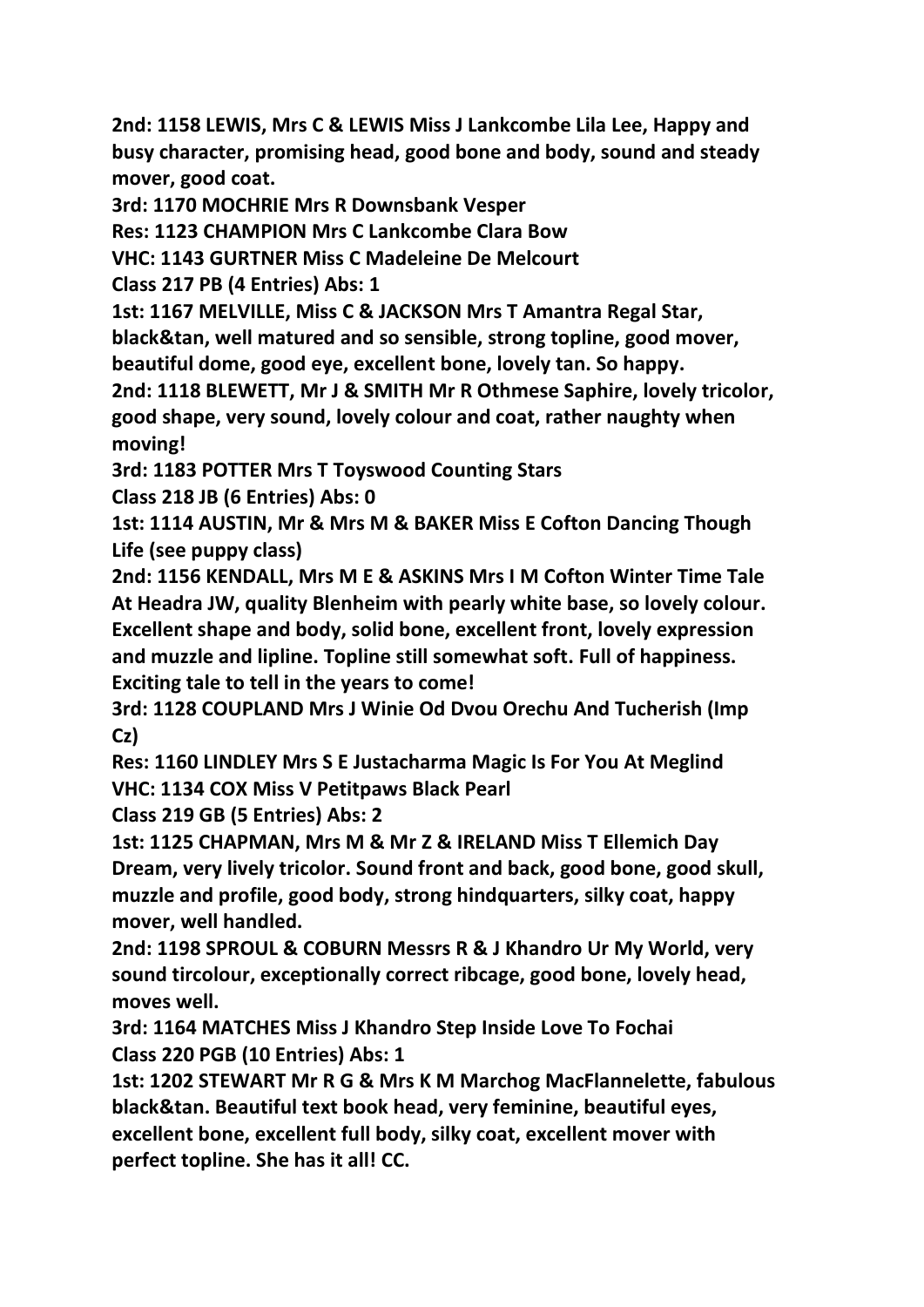**2nd: 1158 LEWIS, Mrs C & LEWIS Miss J Lankcombe Lila Lee, Happy and busy character, promising head, good bone and body, sound and steady mover, good coat.**

**3rd: 1170 MOCHRIE Mrs R Downsbank Vesper**

**Res: 1123 CHAMPION Mrs C Lankcombe Clara Bow**

**VHC: 1143 GURTNER Miss C Madeleine De Melcourt**

**Class 217 PB (4 Entries) Abs: 1**

**1st: 1167 MELVILLE, Miss C & JACKSON Mrs T Amantra Regal Star, black&tan, well matured and so sensible, strong topline, good mover,** 

**beautiful dome, good eye, excellent bone, lovely tan. So happy.**

**2nd: 1118 BLEWETT, Mr J & SMITH Mr R Othmese Saphire, lovely tricolor, good shape, very sound, lovely colour and coat, rather naughty when moving!**

**3rd: 1183 POTTER Mrs T Toyswood Counting Stars**

**Class 218 JB (6 Entries) Abs: 0**

**1st: 1114 AUSTIN, Mr & Mrs M & BAKER Miss E Cofton Dancing Though Life (see puppy class)**

**2nd: 1156 KENDALL, Mrs M E & ASKINS Mrs I M Cofton Winter Time Tale At Headra JW, quality Blenheim with pearly white base, so lovely colour. Excellent shape and body, solid bone, excellent front, lovely expression and muzzle and lipline. Topline still somewhat soft. Full of happiness. Exciting tale to tell in the years to come!**

**3rd: 1128 COUPLAND Mrs J Winie Od Dvou Orechu And Tucherish (Imp Cz)**

**Res: 1160 LINDLEY Mrs S E Justacharma Magic Is For You At Meglind VHC: 1134 COX Miss V Petitpaws Black Pearl**

**Class 219 GB (5 Entries) Abs: 2**

**1st: 1125 CHAPMAN, Mrs M & Mr Z & IRELAND Miss T Ellemich Day Dream, very lively tricolor. Sound front and back, good bone, good skull, muzzle and profile, good body, strong hindquarters, silky coat, happy mover, well handled.**

**2nd: 1198 SPROUL & COBURN Messrs R & J Khandro Ur My World, very sound tircolour, exceptionally correct ribcage, good bone, lovely head, moves well.**

**3rd: 1164 MATCHES Miss J Khandro Step Inside Love To Fochai Class 220 PGB (10 Entries) Abs: 1**

**1st: 1202 STEWART Mr R G & Mrs K M Marchog MacFlannelette, fabulous black&tan. Beautiful text book head, very feminine, beautiful eyes, excellent bone, excellent full body, silky coat, excellent mover with perfect topline. She has it all! CC.**